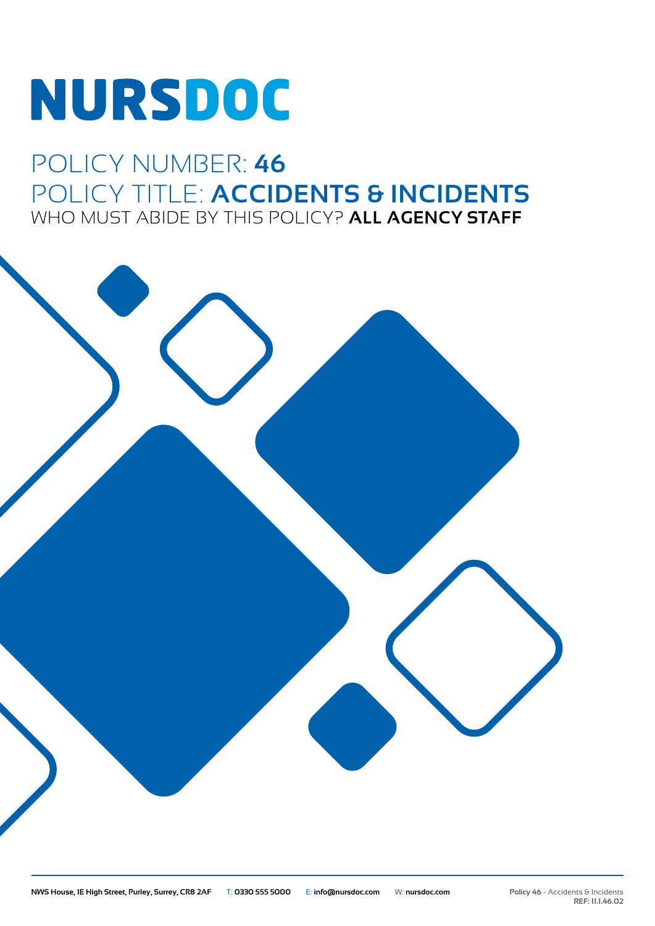# NURSDOC

# POLICY NUMBER: **46** POLICY TITLE: **ACCIDENTS & INCIDENTS** WHO MUST ABIDE BY THIS POLICY? **ALL AGENCY STAFF**